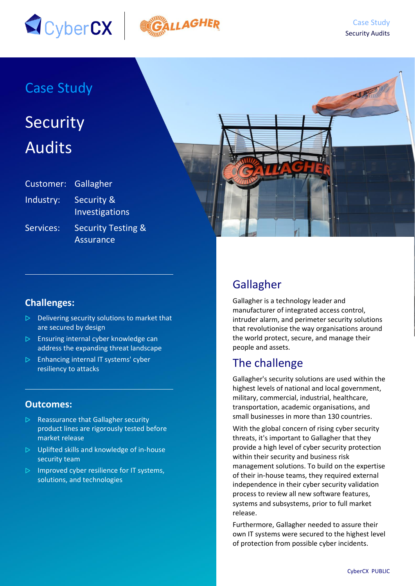



## Case Study

# Security Audits

| Customer: Gallagher |                                                   |
|---------------------|---------------------------------------------------|
| Industry:           | <b>Security &amp;</b><br>Investigations           |
| Services:           | <b>Security Testing &amp;</b><br><b>Assurance</b> |



#### **Challenges:**

- $\triangleright$  Delivering security solutions to market that are secured by design
- $\triangleright$  Ensuring internal cyber knowledge can address the expanding threat landscape
- $\triangleright$  Enhancing internal IT systems' cyber resiliency to attacks

#### **Outcomes:**

- $\triangleright$  Reassurance that Gallagher security product lines are rigorously tested before market release
- $\triangleright$  Uplifted skills and knowledge of in-house security team
- $\triangleright$  Improved cyber resilience for IT systems, solutions, and technologies

## Gallagher

Gallagher is a technology leader and manufacturer of integrated access control, intruder alarm, and perimeter security solutions that revolutionise the way organisations around the world protect, secure, and manage their people and assets.

#### The challenge

Gallagher's security solutions are used within the highest levels of national and local government, military, commercial, industrial, healthcare, transportation, academic organisations, and small businesses in more than 130 countries.

With the global concern of rising cyber security threats, it's important to Gallagher that they provide a high level of cyber security protection within their security and business risk management solutions. To build on the expertise of their in-house teams, they required external independence in their cyber security validation process to review all new software features, systems and subsystems, prior to full market release.

Furthermore, Gallagher needed to assure their own IT systems were secured to the highest level of protection from possible cyber incidents.